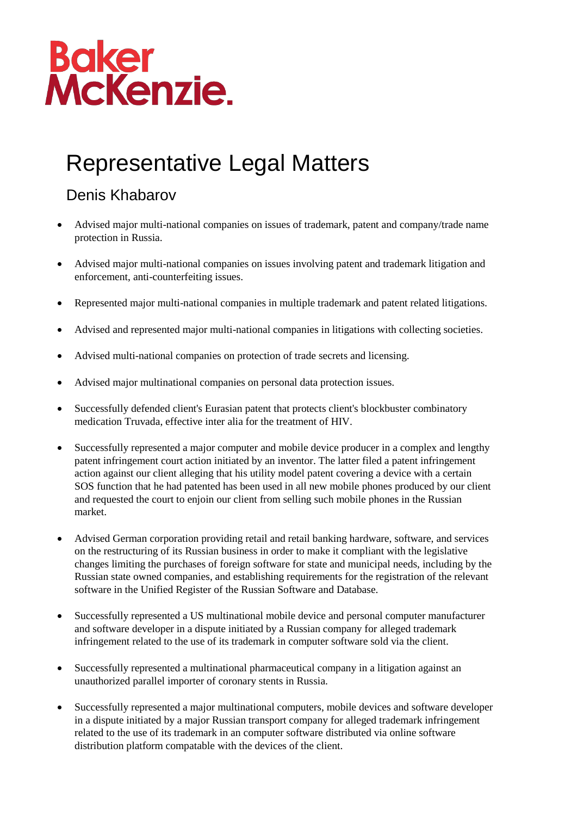## Baker<br>McKenzie.

## Representative Legal Matters

## Denis Khabarov

- Advised major multi-national companies on issues of trademark, patent and company/trade name protection in Russia.
- Advised major multi-national companies on issues involving patent and trademark litigation and enforcement, anti-counterfeiting issues.
- Represented major multi-national companies in multiple trademark and patent related litigations.
- Advised and represented major multi-national companies in litigations with collecting societies.
- Advised multi-national companies on protection of trade secrets and licensing.
- Advised major multinational companies on personal data protection issues.
- Successfully defended client's Eurasian patent that protects client's blockbuster combinatory medication Truvada, effective inter alia for the treatment of HIV.
- Successfully represented a major computer and mobile device producer in a complex and lengthy patent infringement court action initiated by an inventor. The latter filed a patent infringement action against our client alleging that his utility model patent covering a device with a certain SOS function that he had patented has been used in all new mobile phones produced by our client and requested the court to enjoin our client from selling such mobile phones in the Russian market.
- Advised German corporation providing retail and retail banking hardware, software, and services on the restructuring of its Russian business in order to make it compliant with the legislative changes limiting the purchases of foreign software for state and municipal needs, including by the Russian state owned companies, and establishing requirements for the registration of the relevant software in the Unified Register of the Russian Software and Database.
- Successfully represented a US multinational mobile device and personal computer manufacturer and software developer in a dispute initiated by a Russian company for alleged trademark infringement related to the use of its trademark in computer software sold via the client.
- Successfully represented a multinational pharmaceutical company in a litigation against an unauthorized parallel importer of coronary stents in Russia.
- Successfully represented a major multinational computers, mobile devices and software developer in a dispute initiated by a major Russian transport company for alleged trademark infringement related to the use of its trademark in an computer software distributed via online software distribution platform compatable with the devices of the client.